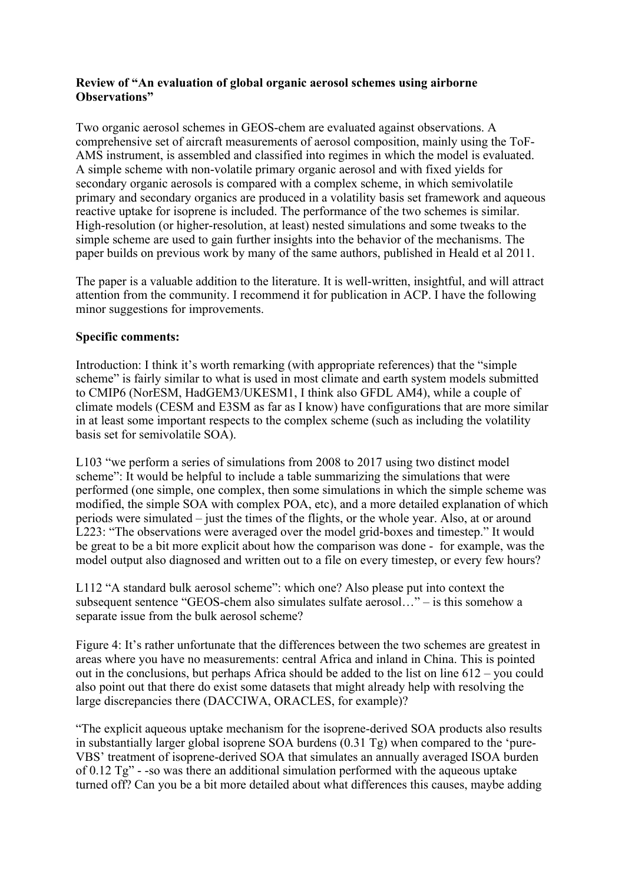## **Review of "An evaluation of global organic aerosol schemes using airborne Observations"**

Two organic aerosol schemes in GEOS-chem are evaluated against observations. A comprehensive set of aircraft measurements of aerosol composition, mainly using the ToF-AMS instrument, is assembled and classified into regimes in which the model is evaluated. A simple scheme with non-volatile primary organic aerosol and with fixed yields for secondary organic aerosols is compared with a complex scheme, in which semivolatile primary and secondary organics are produced in a volatility basis set framework and aqueous reactive uptake for isoprene is included. The performance of the two schemes is similar. High-resolution (or higher-resolution, at least) nested simulations and some tweaks to the simple scheme are used to gain further insights into the behavior of the mechanisms. The paper builds on previous work by many of the same authors, published in Heald et al 2011.

The paper is a valuable addition to the literature. It is well-written, insightful, and will attract attention from the community. I recommend it for publication in ACP. I have the following minor suggestions for improvements.

## **Specific comments:**

Introduction: I think it's worth remarking (with appropriate references) that the "simple scheme" is fairly similar to what is used in most climate and earth system models submitted to CMIP6 (NorESM, HadGEM3/UKESM1, I think also GFDL AM4), while a couple of climate models (CESM and E3SM as far as I know) have configurations that are more similar in at least some important respects to the complex scheme (such as including the volatility basis set for semivolatile SOA).

L103 "we perform a series of simulations from 2008 to 2017 using two distinct model scheme": It would be helpful to include a table summarizing the simulations that were performed (one simple, one complex, then some simulations in which the simple scheme was modified, the simple SOA with complex POA, etc), and a more detailed explanation of which periods were simulated – just the times of the flights, or the whole year. Also, at or around L223: "The observations were averaged over the model grid-boxes and timestep." It would be great to be a bit more explicit about how the comparison was done - for example, was the model output also diagnosed and written out to a file on every timestep, or every few hours?

L112 "A standard bulk aerosol scheme": which one? Also please put into context the subsequent sentence "GEOS-chem also simulates sulfate aerosol…" – is this somehow a separate issue from the bulk aerosol scheme?

Figure 4: It's rather unfortunate that the differences between the two schemes are greatest in areas where you have no measurements: central Africa and inland in China. This is pointed out in the conclusions, but perhaps Africa should be added to the list on line 612 – you could also point out that there do exist some datasets that might already help with resolving the large discrepancies there (DACCIWA, ORACLES, for example)?

"The explicit aqueous uptake mechanism for the isoprene-derived SOA products also results in substantially larger global isoprene SOA burdens (0.31 Tg) when compared to the 'pure-VBS' treatment of isoprene-derived SOA that simulates an annually averaged ISOA burden of 0.12 Tg" - -so was there an additional simulation performed with the aqueous uptake turned off? Can you be a bit more detailed about what differences this causes, maybe adding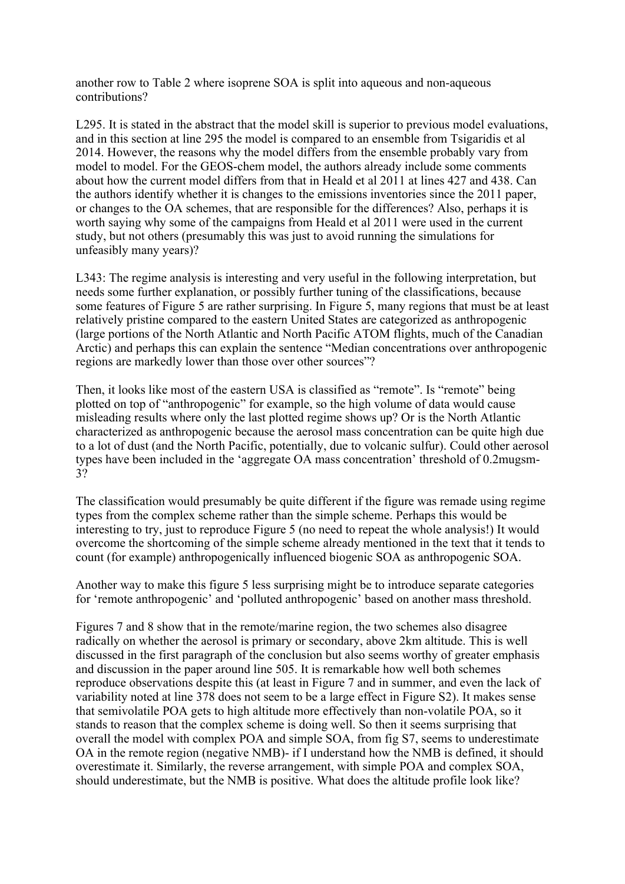another row to Table 2 where isoprene SOA is split into aqueous and non-aqueous contributions?

L295. It is stated in the abstract that the model skill is superior to previous model evaluations, and in this section at line 295 the model is compared to an ensemble from Tsigaridis et al 2014. However, the reasons why the model differs from the ensemble probably vary from model to model. For the GEOS-chem model, the authors already include some comments about how the current model differs from that in Heald et al 2011 at lines 427 and 438. Can the authors identify whether it is changes to the emissions inventories since the 2011 paper, or changes to the OA schemes, that are responsible for the differences? Also, perhaps it is worth saying why some of the campaigns from Heald et al 2011 were used in the current study, but not others (presumably this was just to avoid running the simulations for unfeasibly many years)?

L343: The regime analysis is interesting and very useful in the following interpretation, but needs some further explanation, or possibly further tuning of the classifications, because some features of Figure 5 are rather surprising. In Figure 5, many regions that must be at least relatively pristine compared to the eastern United States are categorized as anthropogenic (large portions of the North Atlantic and North Pacific ATOM flights, much of the Canadian Arctic) and perhaps this can explain the sentence "Median concentrations over anthropogenic regions are markedly lower than those over other sources"?

Then, it looks like most of the eastern USA is classified as "remote". Is "remote" being plotted on top of "anthropogenic" for example, so the high volume of data would cause misleading results where only the last plotted regime shows up? Or is the North Atlantic characterized as anthropogenic because the aerosol mass concentration can be quite high due to a lot of dust (and the North Pacific, potentially, due to volcanic sulfur). Could other aerosol types have been included in the 'aggregate OA mass concentration' threshold of 0.2mugsm-3?

The classification would presumably be quite different if the figure was remade using regime types from the complex scheme rather than the simple scheme. Perhaps this would be interesting to try, just to reproduce Figure 5 (no need to repeat the whole analysis!) It would overcome the shortcoming of the simple scheme already mentioned in the text that it tends to count (for example) anthropogenically influenced biogenic SOA as anthropogenic SOA.

Another way to make this figure 5 less surprising might be to introduce separate categories for 'remote anthropogenic' and 'polluted anthropogenic' based on another mass threshold.

Figures 7 and 8 show that in the remote/marine region, the two schemes also disagree radically on whether the aerosol is primary or secondary, above 2km altitude. This is well discussed in the first paragraph of the conclusion but also seems worthy of greater emphasis and discussion in the paper around line 505. It is remarkable how well both schemes reproduce observations despite this (at least in Figure 7 and in summer, and even the lack of variability noted at line 378 does not seem to be a large effect in Figure S2). It makes sense that semivolatile POA gets to high altitude more effectively than non-volatile POA, so it stands to reason that the complex scheme is doing well. So then it seems surprising that overall the model with complex POA and simple SOA, from fig S7, seems to underestimate OA in the remote region (negative NMB)- if I understand how the NMB is defined, it should overestimate it. Similarly, the reverse arrangement, with simple POA and complex SOA, should underestimate, but the NMB is positive. What does the altitude profile look like?